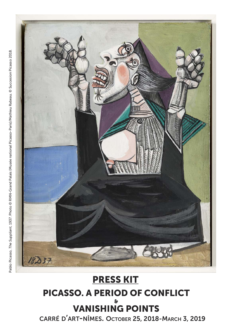

# **PRESS KIT PICASSO. A PERIOD OF CONFLICT & VANISHING POINTS**

**CARRÉ D'ART-NÎMES. OCTOBER 25, 2018-MARCH 3, 2019**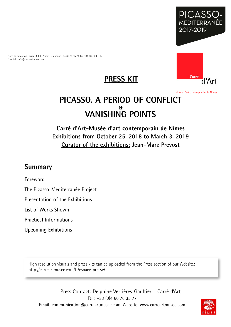

Place de la Maison Carrée. 30000 Nîmes. Téléphone : 04 66 76 35 70. Fax : 04 66 76 35 85 Courriel : info@carreartmusee.com





Musée d'art contemporain de Nîmes

# **PICASSO. A PERIOD OF CONFLICT & VANISHING POINTS**

# **Carré d'Art-Musée d'art contemporain de Nîmes Exhibitions from October 25, 2018 to March 3, 2019 Curator of the exhibitions: Jean-Marc Prevost**

# **Summary**

Foreword

The Picasso-Méditerranée Project

Presentation of the Exhibitions

List of Works Shown

Practical Informations

Upcoming Exhibitions

High resolution visuals and press kits can be uploaded from the Press section of our Website: http://carreartmusee.com/fr/espace-presse/

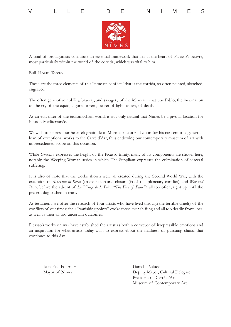





A triad of protagonists constitute an essential framework that lies at the heart of Picasso's oeuvre, most particularly within the world of the corrida, which was vital to him.

Bull. Horse. Torero.

These are the three elements of this "time of conflict" that is the corrida, so often painted, sketched, engraved.

The often generative nobility, bravery, and savagery of the Minotaur that was Pablo; the incarnation of the cry of the equid; a gored torero, bearer of light, of art, of death.

As an epicenter of the tauromachian world, it was only natural that Nimes be a pivotal location for Picasso-Méditerranée.

We wish to express our heartfelt gratitude to Monsieur Laurent Lebon for his consent to a generous loan of exceptional works to the Carré d'Art, thus endowing our contemporary museum of art with unprecedented scope on this occasion.

While *Guernica* expresses the height of the Picasso trinity, many of its components are shown here, notably the Weeping Woman series in which The Suppliant expresses the culmination of visceral suffering.

It is also of note that the works shown were all created during the Second World War, with the exception of *Massacre in Korea* (an extension and closure (?) of this planetary conflict), and *War and Peace,* before the advent of *Le Visage de la Paix ("The Face of Peace")*, all too often, right up until the present day, bathed in tears.

As testament, we offer the research of four artists who have lived through the terrible cruelty of the conflicts of our times; their "vanishing points" evoke those ever shifting and all too deadly front lines, as well as their all too uncertain outcomes.

Picasso's works on war have established the artist as both a conveyor of irrepressible emotions and an inspiration for what artists today wish to express about the madness of pursuing chaos, that continues to this day.

Jean-Paul Fournier Mayor of Nîmes

Daniel J. Valade Deputy Mayor, Cultural Delegate President of Carré d'Art Museum of Contemporary Art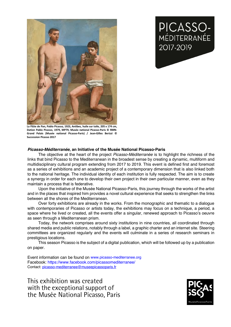**PICASSO-**<br>MÉDITERRANÉE

2017-2019



**La Flûte de Pan, Pablo Picasso, 1923, Antibes, huile sur toile, 205 x 174 cm, Dation Pablo Picasso, 1979, MP79, Musée national Picasso-Paris © RMN-Grand Palais (Musée national Picasso-Paris) / Jean-Gilles Berizzi © Succession Picasso 2017**

#### *Picasso-Méditerranée***, an Initiative of the Musée National Picasso-Paris**

The objective at the heart of the project *Picasso-Méditerranée* is to highlight the richness of the links that bind Picasso to the Mediterranean in the broadest sense by creating a dynamic, multiform and multidisciplinary cultural program extending from 2017 to 2019. This event is defined first and foremost mantal separate programmant and an academic project of a contemporary dimension that is also linked both as a series of exhibitions and an academic project of a contemporary dimension that is also linked both to the national heritage. The individual identity of each institution is fully respected. The aim is to create a synergy in order for each one to develop their own project in their own particular manner, even as they maintain a process that is federative.

Upon the initiative of the Musée National Picasso-Paris, this journey through the works of the artist and in the places that inspired him provides a novel cultural experience that seeks to strengthen the links between all the shores of the Mediterranean.

Over forty exhibitions are already in the works. From the monographic and thematic to a dialogue with contemporaries of Picasso or artists today, the exhibitions may focus on a technique, a period, a space where he lived or created, all the events offer a singular, renewed approach to Picasso's oeuvre as seen through a Mediterranean prism. thématiques, en dialogue avec des contemporains des contemporains d'aujourd'hui, en dialogue avec d'aujourd'hu<br>Disportem

> Today, the network comprises around sixty institutions in nine countries, all coordinated through shared media and public relations, notably through a label, a graphic charter and an internet site. Steering committees are organized regularly and the events will culminate in a series of research seminars in prestigious locations.

> giodo localiono.<br>This season Picasso is the subject of a digital publication, which will be followed up by a publication on paper. charte graphique et d'un site internet. Des controls de proprietations de partie de partie de partie de partie<br>Les controls de partie de partie de partie de partie de partie de partie de partie de partie de partie de part

> Event information can be found on www.picasso-mediterranee.org Facebook: https://www.facebook.com/picassomediterranee/ Contact: picasso-mediterranee@museepicassoparis.fr

This exhibition was created **comediters** and was substantially converted to the surface of the surface of the surface of the surface of the surface of the surface of the surface of the surface of the surface of the surface with the exceptional support of  $\hspace{0.1mm}$ the Musée National Picasso, Paris

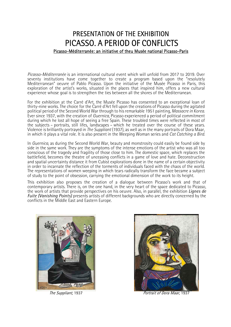# PRESENTATION OF THE EXHIBITION PICASSO. A PERIOD OF CONFLICTS Picasso-Méditerranée: an initiative of theu Musée national Picasso-Paris

*Picasso-Méditerranée* is an international cultural event which will unfold from 2017 to 2019. Over seventy institutions have come together to create a program based upon the "resolutely Mediterranean" oeuvre of Pablo Picasso. Upon the initiative of the Musée Picasso in Paris, this exploration of the artist's works, situated in the places that inspired him, offers a new cultural experience whose goal is to strengthen the ties between all the shores of the Mediterranean.

For the exhibition at the Carré d'Art, the Musée Picasso has consented to an exceptional loan of thirty-nine works. The choice for the Carré d'Art fell upon the creations of Picasso during the agitated political period of the Second World War through to his remarkable 1951 painting, *Massacre in Korea.*  Ever since 1937, with the creation of *Guernica*, Picasso experienced a period of political commitment during which he lost all hope of seeing a free Spain. These troubled times were reflected in most of the subjects – portraits, still lifes, landscapes – which he treated over the course of these years. Violence is brilliantly portrayed in *The Suppliant* (1937), as well as in the many portraits of Dora Maar, in which it plays a vital role. It is also present in the Weeping Woman series and *Cat Catching a Bird.*

In *Guernica*, as during the Second World War, beauty and monstrosity could easily be found side by side in the same work. They are the symptoms of the intense emotions of the artist who was all too conscious of the tragedy and fragility of those close to him. The domestic space, which replaces the battlefield, becomes the theatre of unceasing conflicts in a game of love and hate. Deconstruction and spatial uncertainty distance it from Cubist explorations done in the name of a certain objectivity in order to incarnate the reflection of the torments of individuals faced with the chaos of the world. The representations of women weeping in which tears radically transform the face became a subject of study to the point of obsession, carrying the emotional dimension of the work to its height.

This exhibition also proposes the creation of a dialogue between Picasso's work and that of contemporary artists. There is, on the one hand, in the very heart of the space dedicated to Picasso, the work of artists that provide perspectives on his oeuvre. Also, in parallel, the exhibition *Lignes de Fuite (Vanishing Points)* presents artists of different backgrounds who are directly concerned by the conflicts in the Middle East and Eastern Europe.





The Suppliant, 1937 **Portrait of Dora Maar, 1937**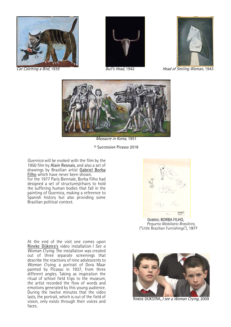





Cat Catching a Bird, 1939 **Bull's Head, 1942** Head of *Smiling Woman*, 1943



Massacre in Korea, 1951

© Succession Picasso 2018

*Guernica* will be evoked with the film by the 1950 film by Alain Resnais, and also a set of drawings by Brazilian artist Gabriel Borba Filho which have never been shown. For the 1977 Paris Biennale, Borba Filho had designed a set of structures/chairs to hold the suffering human bodies that fall in the painting of Guernica, making a reference to Spanish history but also providing some Brazilian political context.

At the end of the visit one comes upon Rineke Dijkstra's video installation *I See a Woman Crying.* The installation was created out of three separate screenings that describe the reactions of nine adolescents to *Woman Crying,* a portrait of Dora Maar painted by Picasso in 1937, from three different angles. Taking as inspiration the ritual of school field trips to the museum, the artist recorded the flow of words and emotions generated by this young audience. During the twelve minutes that the video lasts, the portrait, which is out of the field of vision, only exists through their voices and faces.



GABRIEL BORBA FILHO, *Pequeno Mobiliario Brasileiro,* ("Little Brazilian Furnishings"), 1977



RINEKE DIJKSTRA, I see a Woman Crying, 2009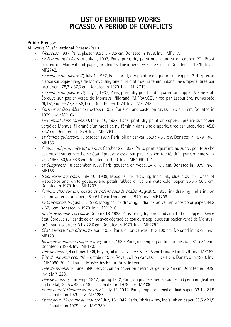# **LIST OF EXHIBITED WORKS PICASSO. A PERIOD OF CONFLICTS**

#### Pablo Picasso

All works Musée national Picasso-Paris

- *Pleureuse,* 1937, Paris, plaster, 9,5 x 8 x 3,5 cm. Donated in 1979. Inv. : MP317.
- -La Femme qui pleure II, July 1, 1937, Paris, print, dry point and aquatint on copper.  $2^{nd}$ . Proof printed on Montval laid paper, printed by Lacourière, 76,3 x 56,7 cm. Donated in 1979. Inv. : MP2742.
- La Femme qui pleure III, July 1, 1937, Paris, print, dry point and aquatint on copper. 3rd. Épreuve d'essai sur papier vergé de Montval filigrané d'un motif de nu féminin dans une draperie, tirée par Lacourière, 78,3 x 57,5 cm. Donated in 1979. Inv. : MP2743.
- -La Femme qui pleure VII, July 1, 1937, Paris, print, dry point and aquatint on copper. Vième état. Épreuve sur papier vergé de Montaval filigrané "M/FRANCE", tirée par Lacourière, numérotée "9/15", signée 77,5 x 56,9 cm. Donated en 1979. Inv. : MP2748.
- Portrait de Dora Maar, 1er october 1937, Paris, oil and pastel on cavas, 55 x 45,5 cm. Donated in 1979. Inv. : MP164.
- Le Combat dans l'arène, October 10, 1937, Paris, print, dry point on copper. Épreuve sur papier vergé de Montval filigrané d'un motif de nu féminin dans une draperie, tirée par Lacourière, 45,8 x 57 cm. Donated in 1979. Inv. : MP2761.
- La Femme qui pleure, 18 october 1937, Paris, oil on canvas, 55,3 x 46,3 cm. Donated in 1979. Inv. : MP165.
- Femme qui pleure devant un mur, October 22, 1937, Paris, print, aquatinte au sucre, pointe sèche et grattoir sur cuivre. IIème état. Épreuve d'essai sur papier japon teinté, tirée par Crommelynck vers 1968, 50,5 x 36,6 cm. Donated in 1990. Inv. : MP1990-121.
- La Suppliante, 18 december 1937, Paris, gouache on wood, 24 x 18,5 cm. Donated in 1979. Inv. : MP168.
- Baigneuses au crabe, July 10, 1938, Mougins, ink drawing, India ink, blue gray ink. wash of watercolor and white gouache and petals rubbed on vellum watercolor paper, 36.5 x 50.5 cm. Donated in 1979. Inv.: MP1207.
- -Femme, chat sur une chaise et enfant sous la chaise, August 5, 1938, ink drawing, India ink on vellum watercolor paper, 45 x 67,7 cm. Donated in 1979. Inv. : MP1209.
- La Crucifixion, August 21, 1938, Mougins, ink drawing, India ink on vellum watercolor paper, 44,2 x 67,1 cm. Donated in 1979. Inv. : MP1210.
- -Buste de femme à la chaise, Octobre 18, 1938, Paris, print, dry point and aquatint on copper.. IXème état. Épreuve sur bande de chine avec dégradé de couleurs appliquée sur papier vergé de Montval, tirée par Lacourière, 34 x 22,6 cm. Donated in 1979. Inv. : MP2785.
- -Chat saisissant un oiseau, 22 april 1939, Paris, oil on canvas, 81 x 100 cm. Donated in 1979. Inv. : MP178.
- *Buste de femme au chapeau rayé*, June 3, 1939, Paris, distemper painting on hessian, 81 x 54 cm. Donated in 1979. Inv.: MP180.
- Tête de femme, 4 october 1939, Royan, oil on canvas, 65,5 x 54,5 cm. Donated in 1979. Inv. : MP182.
- -Tête de mouton écorché, 4 october 1939, Royan, oil on canvas, 50 x 61 cm. Donated in 1990. Inv. : MP1990-20. On loan at Musée des Beaux-Arts de Lyon.
- -Tête de femme, 10 june 1940, Royan, oil on paper on dessin vergé, 64 x 46 cm. Donated in 1979. Inv. : MP1228.
- -Tête de taureau, printemps 1942, Spring 1942, Paris, original elements: saddle and pennant (leather and metal), 33.5 x 43.5 x 19 cm. Donated in 1979. Inv.: MP330.
- - Étude pour "L'Homme au mouton", July 15, 1942, Paris, graphite pencil on laid paper, 33.4 x 21.8 cm. Donated in 1979. Inv.: MP1286.
- - Étude pour "L'Homme au mouton", July 16, 1942, Paris, ink drawinw, India ink on paper, 33,5 x 21,5 cm. Donated in 1979. Inv. : MP1289.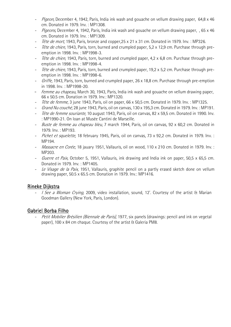- -Pigeon, December 4, 1942, Paris, India ink wash and gouache on vellum drawing paper, 64,8 x 46 cm. Donated in 1979. Inv. : MP1308.
- -Pigeons, December 4, 1942, Paris, India ink wash and gouache on vellum drawing paper, , 65 x 46 cm. Donated in 1979. Inv. : MP1309.
- -Tête de mort, 1943, Paris, bronze and copper, 25 x 21 x 31 cm. Donated in 1979. Inv. : MP326.
- -Tête de chien, 1943, Paris, torn, burned and crumpled paper, 5,2 x 12,9 cm. Purchase through preemption in 1998. Inv. : MP1998-3.
- -Tête de chien, 1943, Paris, torn, burned and crumpled paper, 4.2 x 6.8 cm. Purchase through preemption in 1998. Inv. : MP1998-4.
- -Tête de chien, 1943, Paris, torn, burned and crumpled paper, 19,2 x 5,2 cm. Purchase through preemption in 1998. Inv. : MP1998-6.
- -Griffe, 1943, Paris, torn, burned and crumpled paper, 26 x 18,8 cm. Purchase through pre-emption in 1998. Inv. : MP1998-20.
- Femme au chapeau, March 30, 1943, Paris, India ink wash and gouache on vellum drawing paper, 66 x 50.5 cm. Donation in 1979. Inv.: MP1320.
- -Tête de femme, 3 june 1943, Paris, oil on paper, 66 x 50.5 cm. Donated in 1979. Inv. : MP1325.
- -Grand Nu couché, 28 june 1943, Paris, oil on canvas, 130 x 195,3 cm. Donated in 1979. Inv. : MP191.
- -Tête de femme souriante, 10 august 1943, Paris, oil on canvas, 82 x 59,5 cm. Donated in 1990. Inv. : MP1990-21. On loan at Musée Cantini de Marseille.
- *Buste de femme au chapeau bleu*, 7 march 1944, Paris, oil on canvas, 92 x 60,2 cm. Donated in 1979. Inv. : MP193.
- Pichet et squelette, 18 february 1945, Paris, oil on canvas, 73 x 92,2 cm. Donated in 1979. Inv. : MP194.
- Massacre en Corée, 18 jauary 1951, Vallauris, oil on wood, 110 x 210 cm. Donated in 1979. Inv. : MP203.
- Guerre et Paix, October 5, 1951, Vallauris, ink drawing and India ink on paper, 50,5 x 65,5 cm. Donated in 1979. Inv. : MP1405.
- -Le Visage de la Paix, 1951, Vallauris, graphite pencil on a partly erased sketch done on vellum drawing paper, 50.5 x 65.5 cm. Donation in 1979. Inv.: MP1416.

#### Rineke Dijkstra

- *I See a Woman Crying*, 2009, video installation, sound, 12'. Courtesy of the artist & Marian Goodman Gallery (New York, Paris, London).

#### Gabriel Borba Filho

-Petit Mobilier Brésilien (Biennale de Paris), 1977, six panels (drawings: pencil and ink on vegetal paper), 100 x 84 cm chaque. Courtesy of the artist & Galeria PM8.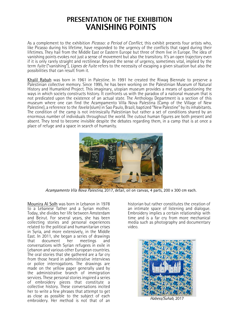# **PRESENTATION OF THE EXHIBITION VANISHING POINTS**

As a complement to the exhibition *Picasso: a Period of Conflict,* this exhibit presents four artists who, like Picasso during his lifetime, have responded to the urgency of the conflicts that raged during their lifetimes. They hail from the Middle East or Eastern Europe but three of them live in Europe. The idea of vanishing points evokes not just a sense of movement but also the transitory. It's an open trajectory even if it is only rarely straight and rectilinear. Beyond the sense of urgency, sometimes vital, implied by the term *fuite* ("vanishing"), *Lignes de Fuite* refers to the necessity of escaping a given situation but also the possibilities that can result from it.

Khalil Rabah was born in 1961 in Palestine. In 1991 he created the Riwaq Biennale to preserve a Palestinian collective memory. Since 1995, he has been working on the Palestinian Museum of Natural History and Humankind Project. This imaginary, utopian museum provides a means of questioning the ways in which society constructs history. It confronts us with the paradox of a national museum that is not predicated upon the existence of an actual state. The Anthology Department is a section of this museum where one can find the Acampamento Villa Nova Palestina (Camp of the Village of New Palestine), a reference to the *favela* (slum) in Sao Paulo, Brazil, baptized "New Palestine" by its inhabitants. The condition of the camp is not intrinsically Palestinian but rather a set of conditions shared by an enormous number of individuals throughout the world. The cutout human figures are both present and absent. They tend to become invisible despite the debates regarding them, in a camp that is at once a place of refuge and a space in search of humanity.



Acampamento Vila Nova Palestina, 2017, detail, oil on canvas, 4 parts, 200 x 300 cm each.

Mounira Al Solh was born in Lebanon in 1978 to a Lebanese father and a Syrian mother. Today, she divides her life between Amsterdam and Beirut. For several years, she has been collecting stories and personal experiences related to the political and humanitarian crises in Syria, and more extensively, in the Middle East. In 2011, she began a series of drawings<br>that document her meetings and document conversations with Syrian refugees in exile in Lebanon and various other European countries. The oral stories that she gathered are a far cry from those heard in administrative interviews or police interrogations. The drawings are made on the yellow paper generally used by the administrative branch of immigration services. These personal stories inspired a series of embroidery pieces that constitute a collective history. These conversations incited her to write a few phrases that attempt to get as close as possible to the subject of each embroidery. Her method is not that of an

historian but rather constitutes the creation of an intimate space of listening and dialogue. Embroidery implies a certain relationship with time and is a far cry from more mechanical media such as photography and documentary video.



Habess/Suhab, 2017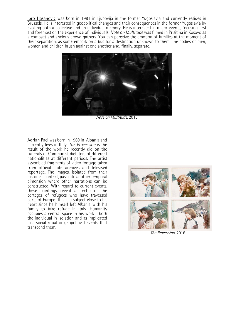**Ibro Hasanovic** was born in 1981 in Ljubovija in the former Yugoslavia and currently resides in Brussels. He is interested in geopolitical changes and their consequences in the former Yugoslavia by evoking both a collective and an individual memory. He is interested in micro-events, focusing first and foremost on the experience of individuals. *Note on Multitude* was filmed in Prisitina in Kosovo as a compact and anxious crowd gathers. You can perceive the emotion of families at the moment of their separation, as some embark on a bus for a destination unknown to them. The bodies of men, women and children brush against one another and, finally, separate.



Note on Multitude, 2015

Adrian Paci was born in 1969 in Albania and currently lives in Italy. *The Procession* is the result of the work he recently did on the funerals of Communist dictators of different nationalities at different periods. The artist assembled fragments of video footage taken from official state archives and televised reportage. The images, isolated from their historical context, pass into another temporal dimension where other narrations can be constructed. With regard to current events, these paintings reveal an echo of the corteges of refugees who have traversed parts of Europe. This is a subject close to his heart since he himself left Albania with his family to take refuge in Italy. Humanity occupies a central space in his work – both the individual in isolation and as implicated in a social ritual or geopolitical events that transcend them.



The Procession, 2016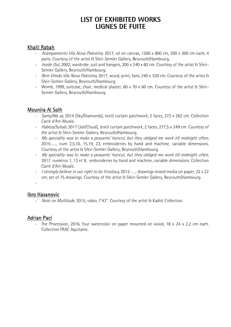# **LIST OF EXHIBITED WORKS LIGNES DE FUITE**

### Khalil Rabah

- Acampamento Vila Nova Palestina, 2017, oil on canvas, 1200 x 800 cm, 200 x 300 cm each, 4 parts. Courtesy of the artist & Sfeir-Semler Gallery, Beyrouth/Hambourg.
- *Inside Out,* 2002, wardrobe, suit and hangers, 200 x 240 x 60 cm. Courtesy of the artist & Sfeir-Semler Gallery, Beyrouth/Hambourg.
- Bem Vimdo Vila Nova Palestina, 2017, wood, print, fans, 240 x 320 cm. Courtesy of the artist & Sfeir-Semler Gallery, Beyrouth/Hambourg.
- Womb, 1999, suitcase, chair, medical plaster, 60 x 70 x 60 cm. Courtesy of the artist & Sfeir-Semler Gallery, Beyrouth/Hambourg.

### Mounira Al Solh

- Sama/Ma as, 2014 (Sky/Diamonds), textil curtain patchwork, 2 faces, 272 x 262 cm. Collection Carré d'Art-Musée.
- Habess/Suhab, 2017 (Jail/Cloud), textil curtain patchwork, 2 faces, 277,5 x 249 cm. Courtesy of the artist & Sfeir-Semler Gallery, Beyrouth/Hambourg.
- My speciality was to make a peasants' haircut, but they obliged me work till midnight often, 2015-…., num 2,5,10, 15,19, 23, embroideries by hand and machine, variable dimensions. Courtesy of the artist & Sfeir-Semler Gallery, Beyrouth/Hambourg.
- My speciality was to make a peasants' haircut, but they obliged me work till midnight often, 2017, numéros 1, 13 et 9, embroideries by hand and machine, variable dimensions. Collection Carré d'Art-Musée.
- I strongly believe in our right to be frivolous, 2012-...., drawings mixed media on paper, 32 x 22 cm; set of 75 drawings. Courtesy of the artist & Sfeir-Semler Gallery, Beyrouth/Hambourg.
- -

#### Ibro Hasanovic

- Note on Multitude, 2015, video, 7'43". Courtesy of the artist & Kadist Collection.

#### Adrian Paci

- The Procession, 2016, four watercolor on paper mounted on wood, 18 x 24 x 2,2 cm each. Collection FRAC Aquitaine.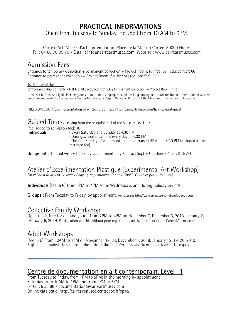# **PRACTICAL INFORMATIONS**

Open from Tuesday to Sunday included from 10 AM to 6PM.

Carré d'Art–Musée d'art contemporain. Place de la Maison Carrée. 30000 Nîmes Tel.: 04 66 76 35 70 - Email : info@carreartmusee.com. Website : www.carreartmusee.com

# Admission Fees

Entrance to temporary exhibition + permanent collection + Project Room: full fee: 8€; reduced fee\*: 6€ Entrance to permanent collection + Project Room: full fee: 5€; reduced fee\*: 3€

1st Sunday of the month

temporary exhibition only - full fee: 8€; reduced fee\*: 6€ / Permanent collection + Project Room: free

\* reduced fee\*: those eligible include groups of more than 20 people, people seeking employment, students (upon presentation of written proof), members of the association Amis des Musées de la Région Occitanie (Friends of

FREE ADMISSION (upon presentation of written proof): see http://carreartmusee.com/fr/infos-pratiques/

Guided Tours: Leaving from the reception hall of the Museum, level + 2

(fee, added to admission fee):  $3\epsilon$ <br>**Individuals**  $-$  Every Saturday and Sunday at 4:30 PM

**Individuals** - Every Saturday and Sunday at 4:30 PM - During school vacations, every day at 4:30 PM - The first Sunday of each month, guided tours at 3PM and 4:30 PM (included in the entrance fee)

Groups not affiliated with schools: By appointment only. Contact Sophie Gauthier (04 66 76 35 74)

# Atelier d'Expérimentation Plastique (Experimental Art Workshop):

*For children from 5 to 12 years of age, by appointment. Contact: Sophie Gauthier (04.66.76.35.74)*

**Individuals** (fee: 5 €) from 2PM to 4PM some Wednesdays and during holiday periods.

**Groups** : From Tuesday to Friday, by appointment. For rates see http://carreartmusee.com/fr/infos-pratiques/

# Collective Family Workshop

Open to all, free for old and young from 2PM to 4PM on November 7, December 5, 2018, January 2, February 6, 2019. Participation possible without prior registration, on the first floor of the Carré d'Art museum.

# Adult Workshops

(fee: 5 €) From 10AM to 1PM on November 17, 24, December 1, 2018, January 12, 19, 26, 2019. Registration required; classes meet at the atelier of the Carré d'Art museum. No minimum level of skill required.

## Centre de documentation en art contemporain, Level -1

From Tuesday to Friday, from 1PM to 5PM; in the morning by appointment Saturday from 10AM to 1PM and from 2PM to 5PM. 04 66 76 35 88 - documentation@carreartmusee.com Online catalogue: http://carreartmusee.centredoc.fr/opac/